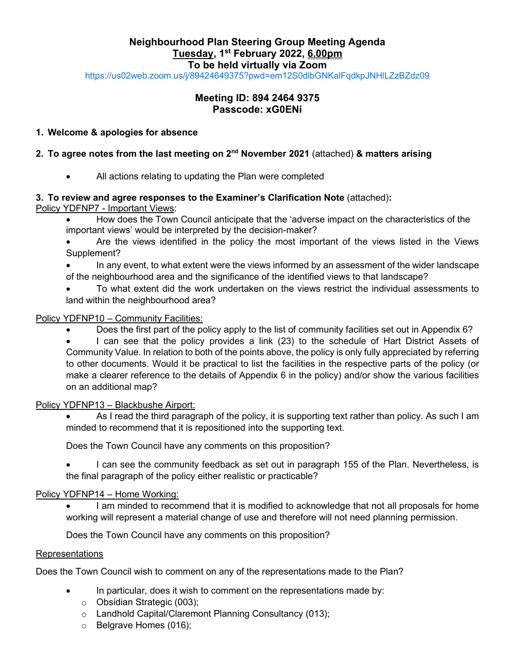# **Neighbourhood Plan Steering Group Meeting Agenda Tuesday, 1 st February 2022, 6.00pm To be held virtually via Zoom**

<https://us02web.zoom.us/j/89424649375?pwd=em12S0dlbGNKalFqdkpJNHlLZzBZdz09>

# **Meeting ID: 894 2464 9375 Passcode: xG0ENi**

## **1. Welcome & apologies for absence**

## **2. To agree notes from the last meeting on 2<sup>nd</sup> November 2021 (attached) & matters arising**

All actions relating to updating the Plan were completed

# **3. To review and agree responses to the Examiner's Clarification Note** (attached)**:**

Policy YDFNP7 - Important Views:

• How does the Town Council anticipate that the 'adverse impact on the characteristics of the important views' would be interpreted by the decision-maker?

- Are the views identified in the policy the most important of the views listed in the Views Supplement?
- In any event, to what extent were the views informed by an assessment of the wider landscape of the neighbourhood area and the significance of the identified views to that landscape?
- To what extent did the work undertaken on the views restrict the individual assessments to land within the neighbourhood area?

## Policy YDFNP10 – Community Facilities:

- Does the first part of the policy apply to the list of community facilities set out in Appendix 6?
- I can see that the policy provides a link (23) to the schedule of Hart District Assets of Community Value. In relation to both of the points above, the policy is only fully appreciated by referring to other documents. Would it be practical to list the facilities in the respective parts of the policy (or make a clearer reference to the details of Appendix 6 in the policy) and/or show the various facilities on an additional map?

### Policy YDFNP13 – Blackbushe Airport:

As I read the third paragraph of the policy, it is supporting text rather than policy. As such I am minded to recommend that it is repositioned into the supporting text.

Does the Town Council have any comments on this proposition?

• I can see the community feedback as set out in paragraph 155 of the Plan. Nevertheless, is the final paragraph of the policy either realistic or practicable?

### Policy YDFNP14 – Home Working:

I am minded to recommend that it is modified to acknowledge that not all proposals for home working will represent a material change of use and therefore will not need planning permission.

Does the Town Council have any comments on this proposition?

### Representations

Does the Town Council wish to comment on any of the representations made to the Plan?

- In particular, does it wish to comment on the representations made by:
	- o Obsidian Strategic (003);
	- o Landhold Capital/Claremont Planning Consultancy (013);
	- o Belgrave Homes (016);